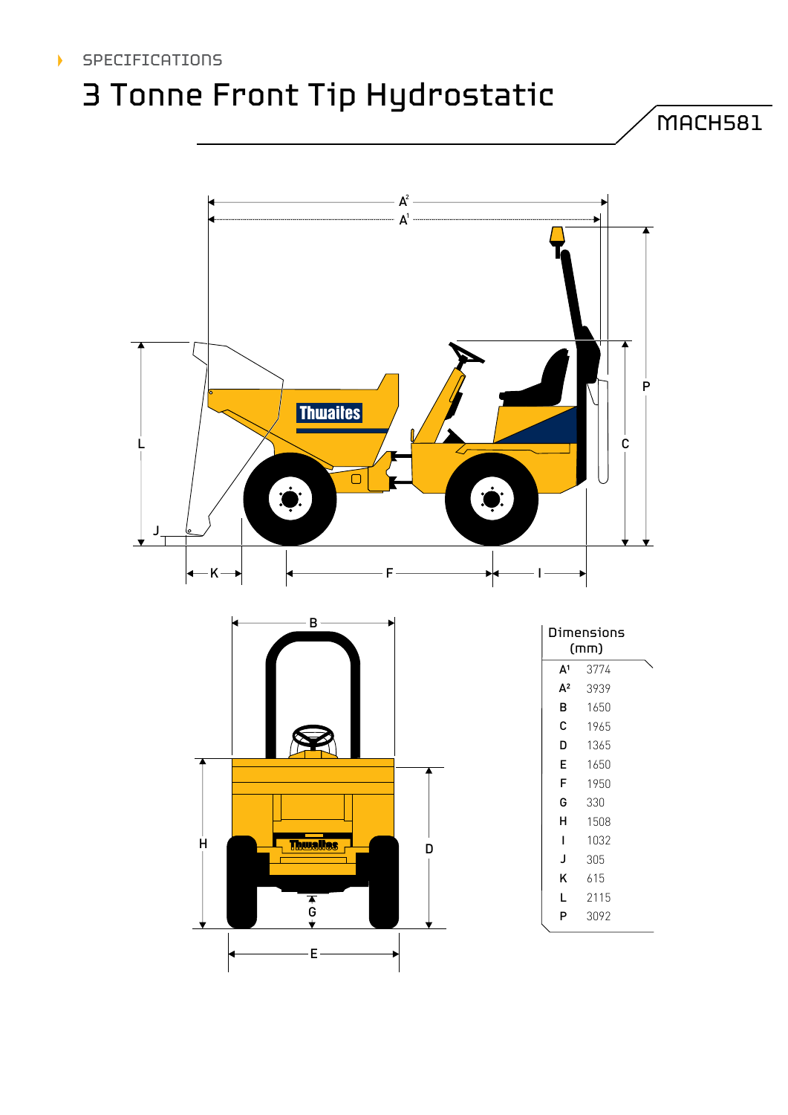### SPECIFICATIONS

## 3 Tonne Front Tip Hydrostatic

MACH581